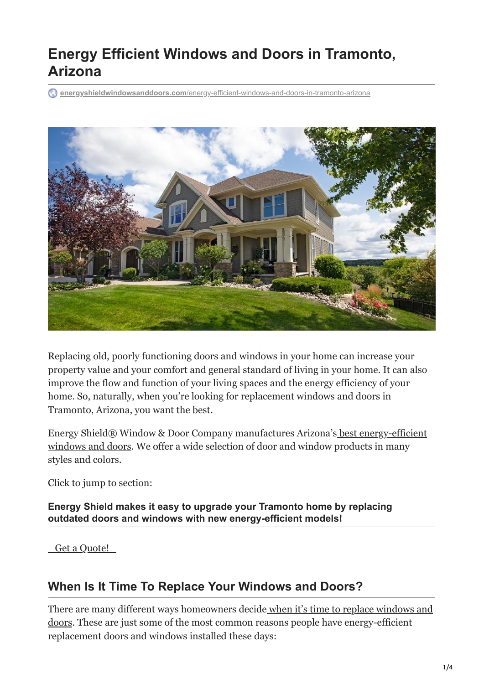# **Energy Efficient Windows and Doors in Tramonto, Arizona**

**energyshieldwindowsanddoors.com**[/energy-efficient-windows-and-doors-in-tramonto-arizona](https://energyshieldwindowsanddoors.com/energy-efficient-windows-and-doors-in-tramonto-arizona/)



Replacing old, poorly functioning doors and windows in your home can increase your property value and your comfort and general standard of living in your home. It can also improve the flow and function of your living spaces and the energy efficiency of your home. So, naturally, when you're looking for replacement windows and doors in Tramonto, Arizona, you want the best.

[Energy Shield® Window & Door Company manufactures Arizona's best energy-efficient](https://energyshieldwindowsanddoors.com/our-reviews/) windows and doors. We offer a wide selection of door and window products in many styles and colors.

Click to jump to section:

**Energy Shield makes it easy to upgrade your Tramonto home by replacing outdated doors and windows with new energy-efficient models!**

 [Get a Quote!](https://energyshieldwindowsanddoors.com/contact/) 

## **When Is It Time To Replace Your Windows and Doors?**

[There are many different ways homeowners decide when it's time to replace windows and](https://energyshieldwindowsanddoors.com/how-do-the-old-doors-compare-with-new-ones-on-the-market/) doors. These are just some of the most common reasons people have energy-efficient replacement doors and windows installed these days: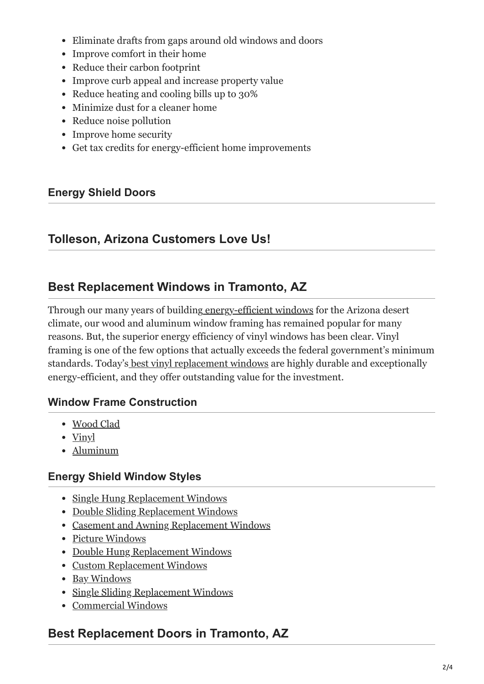- Eliminate drafts from gaps around old windows and doors
- Improve comfort in their home
- Reduce their carbon footprint
- Improve curb appeal and increase property value
- Reduce heating and cooling bills up to 30%
- Minimize dust for a cleaner home
- Reduce noise pollution
- Improve home security
- Get tax credits for energy-efficient home improvements

#### **Energy Shield Doors**

### **Tolleson, Arizona Customers Love Us!**

## **Best Replacement Windows in Tramonto, AZ**

Through our many years of building [energy-efficient windows](https://energyshieldwindowsanddoors.com/replacement-windows/) for the Arizona desert climate, our wood and aluminum window framing has remained popular for many reasons. But, the superior energy efficiency of vinyl windows has been clear. Vinyl framing is one of the few options that actually exceeds the federal government's minimum standards. Today'[s best vinyl replacement windows](https://energyshieldwindowsanddoors.com/vinyl-windows-arizona/) are highly durable and exceptionally energy-efficient, and they offer outstanding value for the investment.

#### **Window Frame Construction**

- [Wood Clad](https://energyshieldwindowsanddoors.com/wood-clad-windows/)
- $\bullet$  [Vinyl](https://energyshieldwindowsanddoors.com/vinyl-windows-arizona/)
- [Aluminum](https://energyshieldwindowsanddoors.com/aluminum-windows/)

#### **Energy Shield Window Styles**

- [Single Hung Replacement Windows](https://energyshieldwindowsanddoors.com/single-hung-windows/)
- [Double Sliding Replacement Windows](https://energyshieldwindowsanddoors.com/double-sliding-windows/)
- [Casement and Awning Replacement Windows](https://energyshieldwindowsanddoors.com/casement-and-awning-windows/)
- [Picture Windows](https://energyshieldwindowsanddoors.com/picture-window-and-custom-shapes/)
- [Double Hung Replacement Windows](https://energyshieldwindowsanddoors.com/double-hung-windows/)
- [Custom Replacement Windows](https://energyshieldwindowsanddoors.com/picture-window-and-custom-shapes/)
- [Bay Windows](https://energyshieldwindowsanddoors.com/bay-and-bow-windows/)
- [Single Sliding Replacement Windows](https://energyshieldwindowsanddoors.com/single-sliding-windows/)
- [Commercial Windows](https://energyshieldwindowsanddoors.com/arizona-commercial-windows/)

## **Best Replacement Doors in Tramonto, AZ**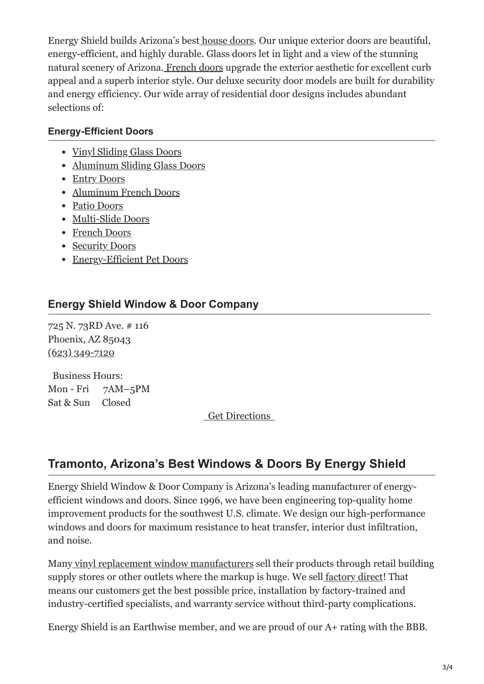Energy Shield builds Arizona's bes[t house doors.](https://energyshieldwindowsanddoors.com/door-replacement-arizona/) Our unique exterior doors are beautiful, energy-efficient, and highly durable. Glass doors let in light and a view of the stunning natural scenery of Arizona. [French doors](https://energyshieldwindowsanddoors.com/exterior-french-door-installation-arizona/) upgrade the exterior aesthetic for excellent curb appeal and a superb interior style. Our deluxe security door models are built for durability and energy efficiency. Our wide array of residential door designs includes abundant selections of:

#### **Energy-Efficient Doors**

- [Vinyl Sliding Glass Doors](https://energyshieldwindowsanddoors.com/vinyl-sliding-glass-doors/)
- [Aluminum Sliding Glass Doors](https://energyshieldwindowsanddoors.com/aluminum-sliding-glass-doors/)
- [Entry Doors](https://energyshieldwindowsanddoors.com/entry-doors/)
- [Aluminum French Doors](https://energyshieldwindowsanddoors.com/aluminum-hinged-doors/)
- [Patio Doors](https://energyshieldwindowsanddoors.com/patio-doors-arizona/)
- [Multi-Slide Doors](https://energyshieldwindowsanddoors.com/multi-slide-doors/)
- [French Doors](https://energyshieldwindowsanddoors.com/french-doors/)
- [Security Doors](https://energyshieldwindowsanddoors.com/security-doors/)
- [Energy-Efficient Pet Doors](https://energyshieldwindowsanddoors.com/pet-door-installer-in-arizona/)

### **Energy Shield Window & Door Company**

725 N. 73RD Ave. # 116 Phoenix, AZ 85043 [\(623\) 349-7120](tel:+16233497120)

Business Hours: Mon - Fri 7AM–5PM Sat & Sun Closed

 [Get Directions](https://goo.gl/maps/Ad5wmcPWDs1DADnT6) 

## **Tramonto, Arizona's Best Windows & Doors By Energy Shield**

Energy Shield Window & Door Company is Arizona's leading manufacturer of energyefficient windows and doors. Since 1996, we have been engineering top-quality home improvement products for the southwest U.S. climate. We design our high-performance windows and doors for maximum resistance to heat transfer, interior dust infiltration, and noise.

Man[y vinyl replacement window manufacturers](https://energyshieldwindowsanddoors.com/which-door-frame-is-best-for-my-home-wood-vinyl-or-aluminum/) sell their products through retail building supply stores or other outlets where the markup is huge. We sell [factory direct](https://energyshieldwindowsanddoors.com/factory-direct-windows-doors-arizona/)! That means our customers get the best possible price, installation by factory-trained and industry-certified specialists, and warranty service without third-party complications.

Energy Shield is an Earthwise member, and we are proud of our A+ rating with the BBB.